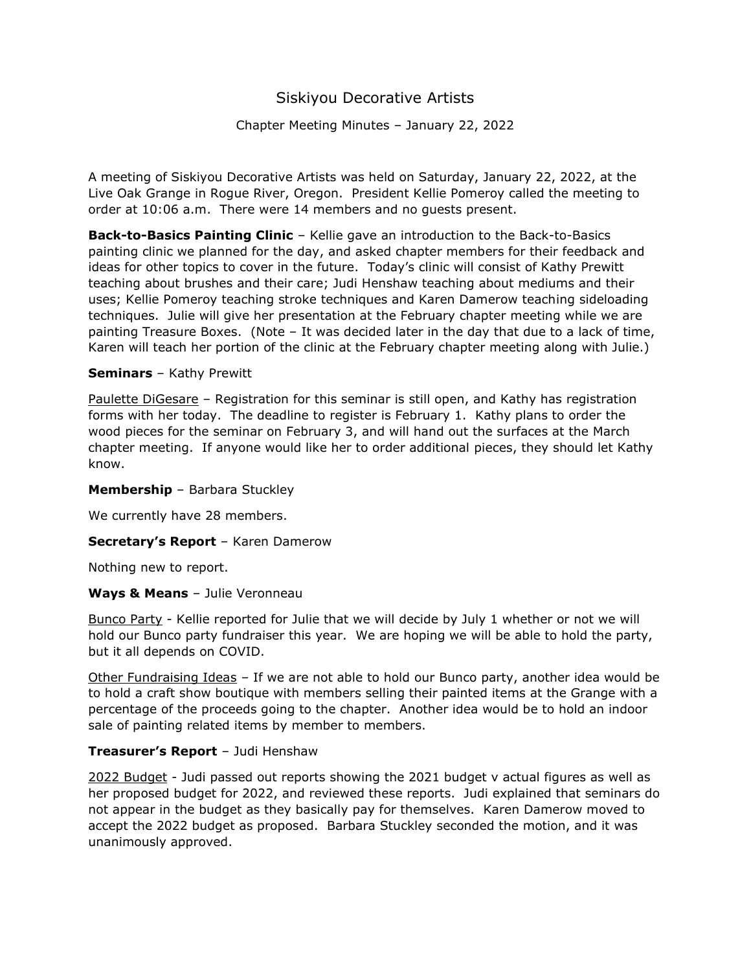# Siskiyou Decorative Artists

## Chapter Meeting Minutes – January 22, 2022

A meeting of Siskiyou Decorative Artists was held on Saturday, January 22, 2022, at the Live Oak Grange in Rogue River, Oregon. President Kellie Pomeroy called the meeting to order at 10:06 a.m. There were 14 members and no guests present.

**Back-to-Basics Painting Clinic** – Kellie gave an introduction to the Back-to-Basics painting clinic we planned for the day, and asked chapter members for their feedback and ideas for other topics to cover in the future. Today's clinic will consist of Kathy Prewitt teaching about brushes and their care; Judi Henshaw teaching about mediums and their uses; Kellie Pomeroy teaching stroke techniques and Karen Damerow teaching sideloading techniques. Julie will give her presentation at the February chapter meeting while we are painting Treasure Boxes. (Note – It was decided later in the day that due to a lack of time, Karen will teach her portion of the clinic at the February chapter meeting along with Julie.)

#### **Seminars** – Kathy Prewitt

Paulette DiGesare – Registration for this seminar is still open, and Kathy has registration forms with her today. The deadline to register is February 1. Kathy plans to order the wood pieces for the seminar on February 3, and will hand out the surfaces at the March chapter meeting. If anyone would like her to order additional pieces, they should let Kathy know.

#### **Membership** – Barbara Stuckley

We currently have 28 members.

#### **Secretary's Report** – Karen Damerow

Nothing new to report.

#### **Ways & Means** – Julie Veronneau

Bunco Party - Kellie reported for Julie that we will decide by July 1 whether or not we will hold our Bunco party fundraiser this year. We are hoping we will be able to hold the party, but it all depends on COVID.

Other Fundraising Ideas - If we are not able to hold our Bunco party, another idea would be to hold a craft show boutique with members selling their painted items at the Grange with a percentage of the proceeds going to the chapter. Another idea would be to hold an indoor sale of painting related items by member to members.

#### **Treasurer's Report** – Judi Henshaw

2022 Budget - Judi passed out reports showing the 2021 budget v actual figures as well as her proposed budget for 2022, and reviewed these reports. Judi explained that seminars do not appear in the budget as they basically pay for themselves. Karen Damerow moved to accept the 2022 budget as proposed. Barbara Stuckley seconded the motion, and it was unanimously approved.